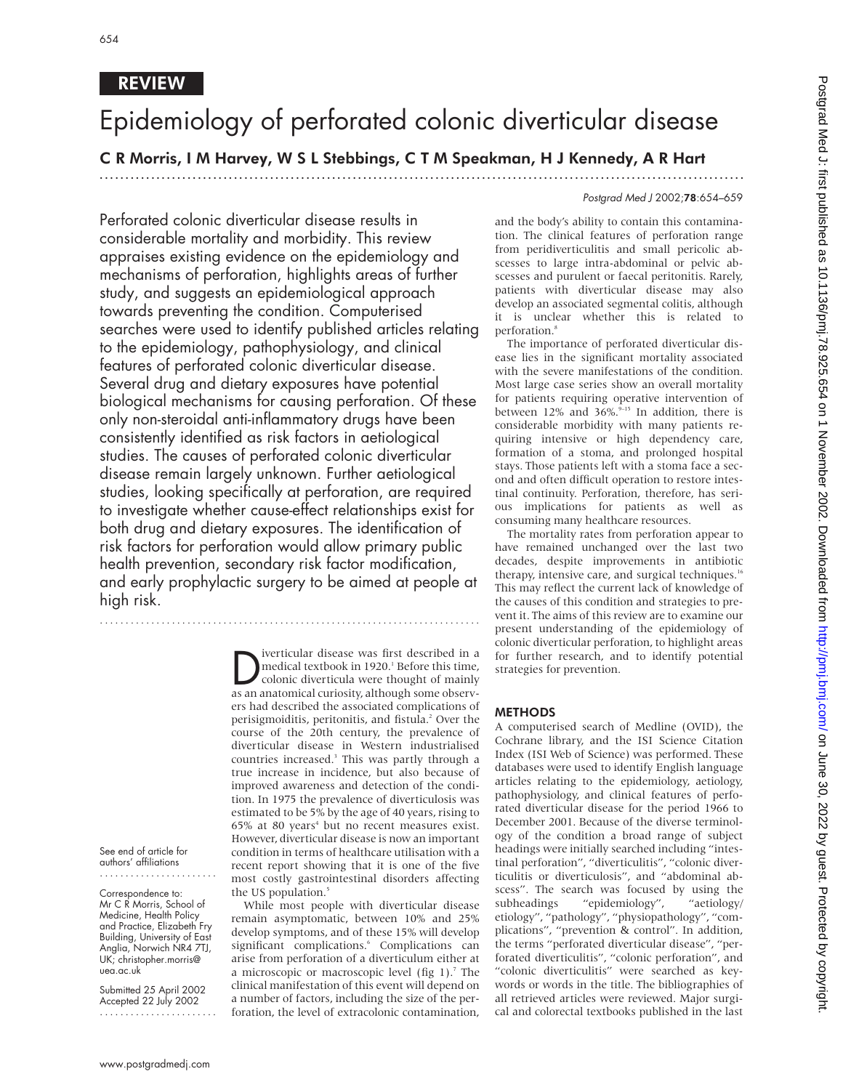## REVIEW

# Epidemiology of perforated colonic diverticular disease

## C R Morris, I M Harvey, W S L Stebbings, C T M Speakman, H J Kennedy, A R Hart

.............................................................................................................................

### Postgrad Med J 2002;78:654–659

Perforated colonic diverticular disease results in considerable mortality and morbidity. This review appraises existing evidence on the epidemiology and mechanisms of perforation, highlights areas of further study, and suggests an epidemiological approach towards preventing the condition. Computerised searches were used to identify published articles relating to the epidemiology, pathophysiology, and clinical features of perforated colonic diverticular disease. Several drug and dietary exposures have potential biological mechanisms for causing perforation. Of these only non-steroidal anti-inflammatory drugs have been consistently identified as risk factors in aetiological studies. The causes of perforated colonic diverticular disease remain largely unknown. Further aetiological studies, looking specifically at perforation, are required to investigate whether cause-effect relationships exist for both drug and dietary exposures. The identification of risk factors for perforation would allow primary public health prevention, secondary risk factor modification, and early prophylactic surgery to be aimed at people at high risk.

..........................................................................

Diverticular disease was first described in a<br>medical textbook in 1920.<sup>1</sup> Before this time,<br>colonic diverticula were thought of mainly<br>as an anatomical curiosity although some observmedical textbook in 1920.<sup>1</sup> Before this time, colonic diverticula were thought of mainly as an anatomical curiosity, although some observers had described the associated complications of perisigmoiditis, peritonitis, and fistula.<sup>2</sup> Over the course of the 20th century, the prevalence of diverticular disease in Western industrialised countries increased.<sup>3</sup> This was partly through a true increase in incidence, but also because of improved awareness and detection of the condition. In 1975 the prevalence of diverticulosis was estimated to be 5% by the age of 40 years, rising to  $65%$  at 80 years<sup>4</sup> but no recent measures exist. However, diverticular disease is now an important condition in terms of healthcare utilisation with a recent report showing that it is one of the five most costly gastrointestinal disorders affecting the US population.<sup>5</sup>

While most people with diverticular disease remain asymptomatic, between 10% and 25% develop symptoms, and of these 15% will develop significant complications.<sup>6</sup> Complications can arise from perforation of a diverticulum either at a microscopic or macroscopic level (fig  $1$ ).<sup>7</sup> The clinical manifestation of this event will depend on a number of factors, including the size of the perforation, the level of extracolonic contamination,

and the body's ability to contain this contamination. The clinical features of perforation range from peridiverticulitis and small pericolic abscesses to large intra-abdominal or pelvic abscesses and purulent or faecal peritonitis. Rarely, patients with diverticular disease may also develop an associated segmental colitis, although it is unclear whether this is related to perforation.<sup>8</sup>

The importance of perforated diverticular disease lies in the significant mortality associated with the severe manifestations of the condition. Most large case series show an overall mortality for patients requiring operative intervention of between 12% and  $36\%$ .<sup>9-15</sup> In addition, there is considerable morbidity with many patients requiring intensive or high dependency care, formation of a stoma, and prolonged hospital stays. Those patients left with a stoma face a second and often difficult operation to restore intestinal continuity. Perforation, therefore, has serious implications for patients as well as consuming many healthcare resources.

The mortality rates from perforation appear to have remained unchanged over the last two decades, despite improvements in antibiotic therapy, intensive care, and surgical techniques.<sup>16</sup> This may reflect the current lack of knowledge of the causes of this condition and strategies to prevent it. The aims of this review are to examine our present understanding of the epidemiology of colonic diverticular perforation, to highlight areas for further research, and to identify potential strategies for prevention.

### **METHODS**

A computerised search of Medline (OVID), the Cochrane library, and the ISI Science Citation Index (ISI Web of Science) was performed. These databases were used to identify English language articles relating to the epidemiology, aetiology, pathophysiology, and clinical features of perforated diverticular disease for the period 1966 to December 2001. Because of the diverse terminology of the condition a broad range of subject headings were initially searched including "intestinal perforation", "diverticulitis", "colonic diverticulitis or diverticulosis", and "abdominal abscess". The search was focused by using the subheadings "epidemiology", "aetiology/ etiology", "pathology", "physiopathology", "complications", "prevention & control". In addition, the terms "perforated diverticular disease", "perforated diverticulitis", "colonic perforation", and "colonic diverticulitis" were searched as keywords or words in the title. The bibliographies of all retrieved articles were reviewed. Major surgical and colorectal textbooks published in the last

See end of article for authors' affiliations .......................

Correspondence to: Mr C R Morris, School of Medicine, Health Policy and Practice, Elizabeth Fry Building, University of East Anglia, Norwich NR4 7TJ, UK; christopher.morris@ uea.ac.uk

Submitted 25 April 2002 Accepted 22 July 2002 .......................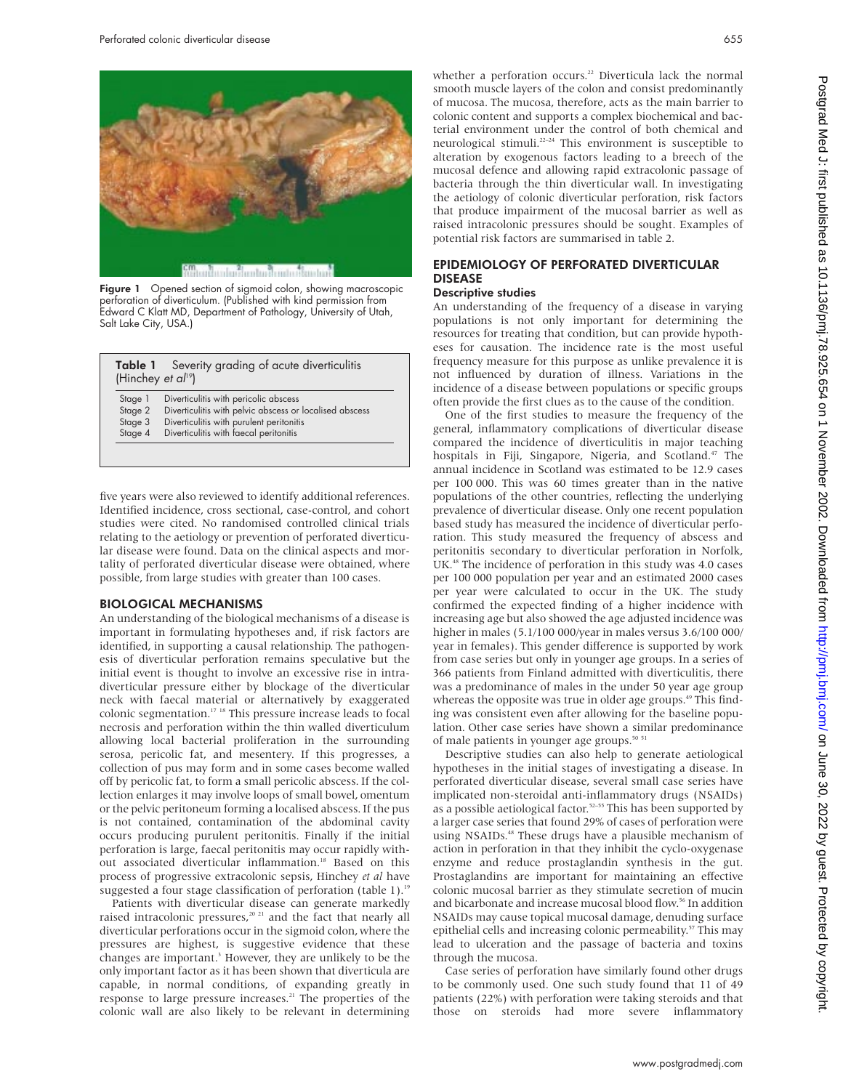

Figure 1 Opened section of sigmoid colon, showing macroscopic perforation of diverticulum. (Published with kind permission from Edward C Klatt MD, Department of Pathology, University of Utah, Salt Lake City, USA.)

| (Hinchey et $a^{19}$ ) | <b>Table 1</b> Severity grading of acute diverticulitis |
|------------------------|---------------------------------------------------------|
| Stage 1                | Diverticulitis with pericolic abscess                   |
| Stage 2                | Diverticulitis with pelvic abscess or localised abscess |
| Stage 3                | Diverticulitis with purulent peritonitis                |
| Stage 4                | Diverticulitis with faecal peritonitis                  |

five years were also reviewed to identify additional references. Identified incidence, cross sectional, case-control, and cohort studies were cited. No randomised controlled clinical trials relating to the aetiology or prevention of perforated diverticular disease were found. Data on the clinical aspects and mortality of perforated diverticular disease were obtained, where possible, from large studies with greater than 100 cases.

#### BIOLOGICAL MECHANISMS

An understanding of the biological mechanisms of a disease is important in formulating hypotheses and, if risk factors are identified, in supporting a causal relationship. The pathogenesis of diverticular perforation remains speculative but the initial event is thought to involve an excessive rise in intradiverticular pressure either by blockage of the diverticular neck with faecal material or alternatively by exaggerated colonic segmentation.17 18 This pressure increase leads to focal necrosis and perforation within the thin walled diverticulum allowing local bacterial proliferation in the surrounding serosa, pericolic fat, and mesentery. If this progresses, a collection of pus may form and in some cases become walled off by pericolic fat, to form a small pericolic abscess. If the collection enlarges it may involve loops of small bowel, omentum or the pelvic peritoneum forming a localised abscess. If the pus is not contained, contamination of the abdominal cavity occurs producing purulent peritonitis. Finally if the initial perforation is large, faecal peritonitis may occur rapidly without associated diverticular inflammation.<sup>18</sup> Based on this process of progressive extracolonic sepsis, Hinchey *et al* have suggested a four stage classification of perforation (table 1).<sup>19</sup>

Patients with diverticular disease can generate markedly raised intracolonic pressures,<sup>20 21</sup> and the fact that nearly all diverticular perforations occur in the sigmoid colon, where the pressures are highest, is suggestive evidence that these changes are important.<sup>3</sup> However, they are unlikely to be the only important factor as it has been shown that diverticula are capable, in normal conditions, of expanding greatly in response to large pressure increases.<sup>21</sup> The properties of the colonic wall are also likely to be relevant in determining

whether a perforation occurs.<sup>22</sup> Diverticula lack the normal smooth muscle layers of the colon and consist predominantly of mucosa. The mucosa, therefore, acts as the main barrier to colonic content and supports a complex biochemical and bacterial environment under the control of both chemical and neurological stimuli.22–24 This environment is susceptible to alteration by exogenous factors leading to a breech of the mucosal defence and allowing rapid extracolonic passage of bacteria through the thin diverticular wall. In investigating the aetiology of colonic diverticular perforation, risk factors that produce impairment of the mucosal barrier as well as raised intracolonic pressures should be sought. Examples of potential risk factors are summarised in table 2.

### EPIDEMIOLOGY OF PERFORATED DIVERTICULAR DISEASE

#### Descriptive studies

An understanding of the frequency of a disease in varying populations is not only important for determining the resources for treating that condition, but can provide hypotheses for causation. The incidence rate is the most useful frequency measure for this purpose as unlike prevalence it is not influenced by duration of illness. Variations in the incidence of a disease between populations or specific groups often provide the first clues as to the cause of the condition.

One of the first studies to measure the frequency of the general, inflammatory complications of diverticular disease compared the incidence of diverticulitis in major teaching hospitals in Fiji, Singapore, Nigeria, and Scotland.<sup>47</sup> The annual incidence in Scotland was estimated to be 12.9 cases per 100 000. This was 60 times greater than in the native populations of the other countries, reflecting the underlying prevalence of diverticular disease. Only one recent population based study has measured the incidence of diverticular perforation. This study measured the frequency of abscess and peritonitis secondary to diverticular perforation in Norfolk, UK.<sup>48</sup> The incidence of perforation in this study was 4.0 cases per 100 000 population per year and an estimated 2000 cases per year were calculated to occur in the UK. The study confirmed the expected finding of a higher incidence with increasing age but also showed the age adjusted incidence was higher in males (5.1/100 000/year in males versus 3.6/100 000/ year in females). This gender difference is supported by work from case series but only in younger age groups. In a series of 366 patients from Finland admitted with diverticulitis, there was a predominance of males in the under 50 year age group whereas the opposite was true in older age groups.<sup>49</sup> This finding was consistent even after allowing for the baseline population. Other case series have shown a similar predominance of male patients in younger age groups.<sup>50 51</sup>

Descriptive studies can also help to generate aetiological hypotheses in the initial stages of investigating a disease. In perforated diverticular disease, several small case series have implicated non-steroidal anti-inflammatory drugs (NSAIDs) as a possible aetiological factor.<sup>52-55</sup> This has been supported by a larger case series that found 29% of cases of perforation were using NSAIDs.<sup>48</sup> These drugs have a plausible mechanism of action in perforation in that they inhibit the cyclo-oxygenase enzyme and reduce prostaglandin synthesis in the gut. Prostaglandins are important for maintaining an effective colonic mucosal barrier as they stimulate secretion of mucin and bicarbonate and increase mucosal blood flow.<sup>56</sup> In addition NSAIDs may cause topical mucosal damage, denuding surface epithelial cells and increasing colonic permeability.<sup>57</sup> This may lead to ulceration and the passage of bacteria and toxins through the mucosa.

Case series of perforation have similarly found other drugs to be commonly used. One such study found that 11 of 49 patients (22%) with perforation were taking steroids and that those on steroids had more severe inflammatory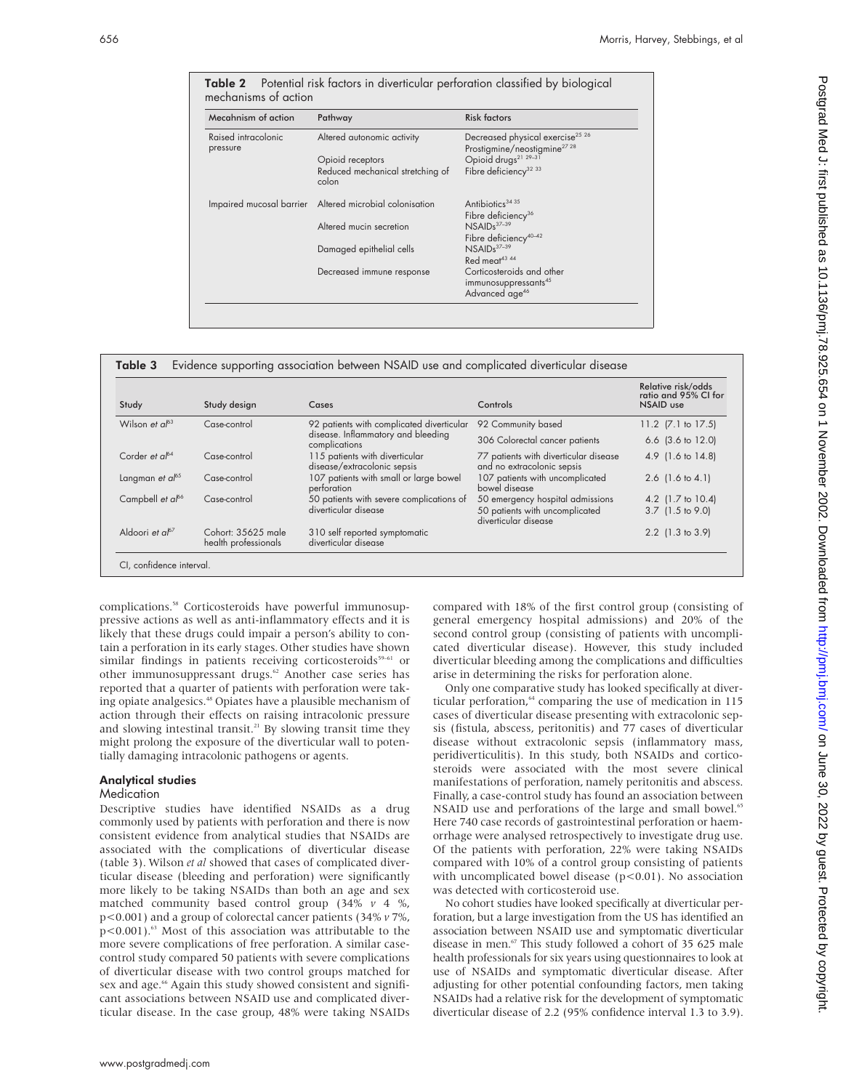| Mecahnism of action             | Pathway                                                 | <b>Risk factors</b>                                                                                            |
|---------------------------------|---------------------------------------------------------|----------------------------------------------------------------------------------------------------------------|
| Raised intracolonic<br>pressure | Altered autonomic activity                              | Decreased physical exercise <sup>25</sup> <sup>26</sup><br>Prostigmine/neostigmine <sup>27</sup> <sup>28</sup> |
|                                 | Opioid receptors                                        | Opioid drugs <sup>21</sup> 29-31                                                                               |
|                                 | Reduced mechanical stretching of<br>colon               | Fibre deficiency <sup>32 33</sup>                                                                              |
|                                 | Impaired mucosal barrier Altered microbial colonisation | Antibiotics <sup>3435</sup>                                                                                    |
|                                 |                                                         | Fibre deficiency <sup>36</sup>                                                                                 |
|                                 | Altered mucin secretion                                 | $NSAIDs37-39$                                                                                                  |
|                                 |                                                         | Fibre deficiency <sup>40-42</sup>                                                                              |
|                                 | Damaged epithelial cells                                | $NSAIDs37-39$                                                                                                  |
|                                 |                                                         | Red meat <sup>43</sup> 44                                                                                      |
|                                 | Decreased immune response                               | Corticosteroids and other<br>immunosuppressants <sup>45</sup>                                                  |
|                                 |                                                         | Advanced age <sup>46</sup>                                                                                     |

Table 2 Potential risk factors in diverticular perforation classified by biological mechanisms of action

|                              |                                            |                                                                                                  |                                                                     | Relative risk/odds<br>ratio and 95% CI for |
|------------------------------|--------------------------------------------|--------------------------------------------------------------------------------------------------|---------------------------------------------------------------------|--------------------------------------------|
| Study                        | Study design                               | Cases                                                                                            | Controls                                                            | NSAID use                                  |
| Wilson et $a^{63}$           | Case-control                               | 92 patients with complicated diverticular<br>disease. Inflammatory and bleeding<br>complications | 92 Community based                                                  | 11.2 (7.1 to 17.5)                         |
|                              |                                            |                                                                                                  | 306 Colorectal cancer patients                                      | 6.6 $(3.6 \text{ to } 12.0)$               |
| Corder et $a^{64}$           | Case-control                               | 115 patients with diverticular<br>disease/extracolonic sepsis                                    | 77 patients with diverticular disease<br>and no extracolonic sepsis | 4.9 $(1.6 \text{ to } 14.8)$               |
| Langman et $a^{65}$          | Case-control                               | 107 patients with small or large bowel<br>perforation                                            | 107 patients with uncomplicated<br>bowel disease                    | 2.6 $(1.6 \text{ to } 4.1)$                |
| Campbell et al <sup>66</sup> | Case-control                               | 50 patients with severe complications of<br>diverticular disease                                 | 50 emergency hospital admissions                                    | 4.2 (1.7 to 10.4)                          |
|                              |                                            |                                                                                                  | 50 patients with uncomplicated<br>diverticular disease              | 3.7 (1.5 to 9.0)                           |
| Aldoori et $a^{67}$          | Cohort: 35625 male<br>health professionals | 310 self reported symptomatic<br>diverticular disease                                            |                                                                     | 2.2 (1.3 to 3.9)                           |

complications.<sup>58</sup> Corticosteroids have powerful immunosuppressive actions as well as anti-inflammatory effects and it is likely that these drugs could impair a person's ability to contain a perforation in its early stages. Other studies have shown similar findings in patients receiving corticosteroids<sup>59–61</sup> or other immunosuppressant drugs.<sup>62</sup> Another case series has reported that a quarter of patients with perforation were taking opiate analgesics.<sup>48</sup> Opiates have a plausible mechanism of action through their effects on raising intracolonic pressure and slowing intestinal transit.<sup>21</sup> By slowing transit time they might prolong the exposure of the diverticular wall to potentially damaging intracolonic pathogens or agents.

#### Analytical studies

#### Medication

Descriptive studies have identified NSAIDs as a drug commonly used by patients with perforation and there is now consistent evidence from analytical studies that NSAIDs are associated with the complications of diverticular disease (table 3). Wilson *et al* showed that cases of complicated diverticular disease (bleeding and perforation) were significantly more likely to be taking NSAIDs than both an age and sex matched community based control group (34% *v* 4 %, p<0.001) and a group of colorectal cancer patients (34% *v* 7%,  $p$ <0.001).<sup>63</sup> Most of this association was attributable to the more severe complications of free perforation. A similar casecontrol study compared 50 patients with severe complications of diverticular disease with two control groups matched for sex and age.<sup>66</sup> Again this study showed consistent and significant associations between NSAID use and complicated diverticular disease. In the case group, 48% were taking NSAIDs

compared with 18% of the first control group (consisting of general emergency hospital admissions) and 20% of the second control group (consisting of patients with uncomplicated diverticular disease). However, this study included diverticular bleeding among the complications and difficulties arise in determining the risks for perforation alone.

Only one comparative study has looked specifically at diverticular perforation, $64$  comparing the use of medication in 115 cases of diverticular disease presenting with extracolonic sepsis (fistula, abscess, peritonitis) and 77 cases of diverticular disease without extracolonic sepsis (inflammatory mass, peridiverticulitis). In this study, both NSAIDs and corticosteroids were associated with the most severe clinical manifestations of perforation, namely peritonitis and abscess. Finally, a case-control study has found an association between NSAID use and perforations of the large and small bowel.<sup>65</sup> Here 740 case records of gastrointestinal perforation or haemorrhage were analysed retrospectively to investigate drug use. Of the patients with perforation, 22% were taking NSAIDs compared with 10% of a control group consisting of patients with uncomplicated bowel disease (p<0.01). No association was detected with corticosteroid use.

No cohort studies have looked specifically at diverticular perforation, but a large investigation from the US has identified an association between NSAID use and symptomatic diverticular disease in men.<sup>67</sup> This study followed a cohort of 35 625 male health professionals for six years using questionnaires to look at use of NSAIDs and symptomatic diverticular disease. After adjusting for other potential confounding factors, men taking NSAIDs had a relative risk for the development of symptomatic diverticular disease of 2.2 (95% confidence interval 1.3 to 3.9).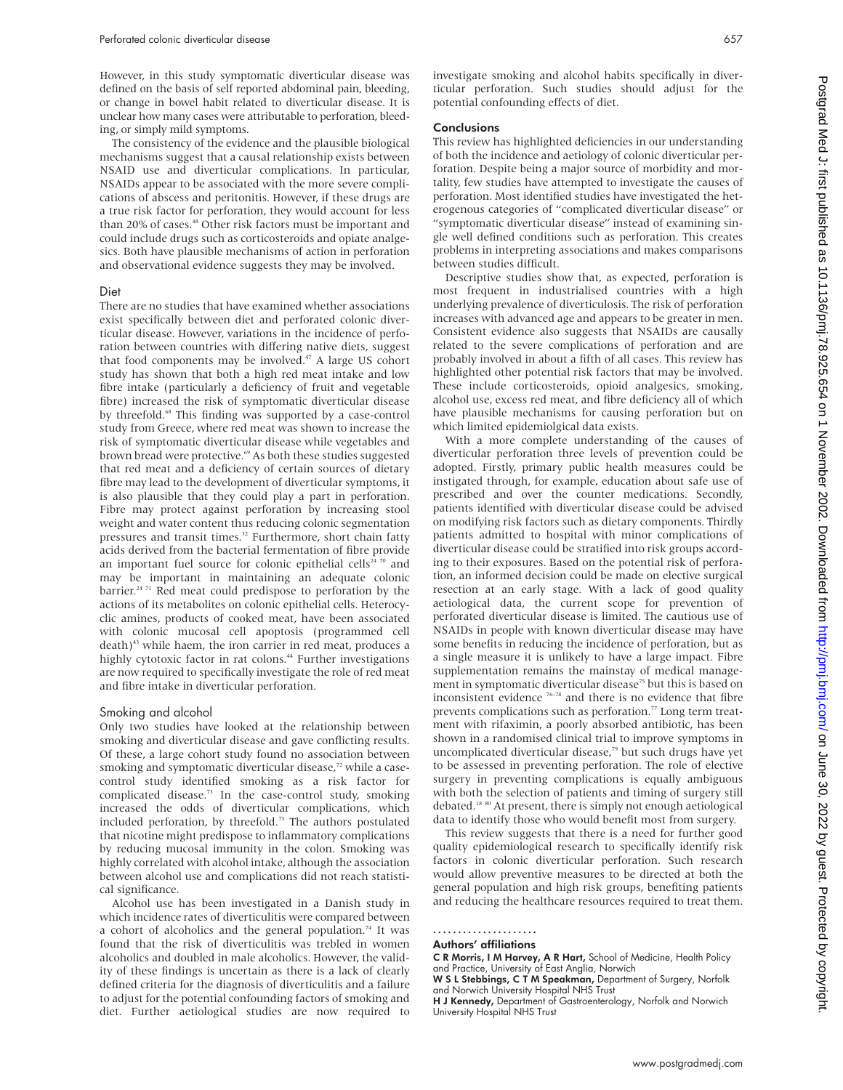However, in this study symptomatic diverticular disease was defined on the basis of self reported abdominal pain, bleeding, or change in bowel habit related to diverticular disease. It is unclear how many cases were attributable to perforation, bleeding, or simply mild symptoms.

The consistency of the evidence and the plausible biological mechanisms suggest that a causal relationship exists between NSAID use and diverticular complications. In particular, NSAIDs appear to be associated with the more severe complications of abscess and peritonitis. However, if these drugs are a true risk factor for perforation, they would account for less than 20% of cases.<sup>48</sup> Other risk factors must be important and could include drugs such as corticosteroids and opiate analgesics. Both have plausible mechanisms of action in perforation and observational evidence suggests they may be involved.

#### Diet

There are no studies that have examined whether associations exist specifically between diet and perforated colonic diverticular disease. However, variations in the incidence of perforation between countries with differing native diets, suggest that food components may be involved.47 A large US cohort study has shown that both a high red meat intake and low fibre intake (particularly a deficiency of fruit and vegetable fibre) increased the risk of symptomatic diverticular disease by threefold.<sup>68</sup> This finding was supported by a case-control study from Greece, where red meat was shown to increase the risk of symptomatic diverticular disease while vegetables and brown bread were protective.<sup>69</sup> As both these studies suggested that red meat and a deficiency of certain sources of dietary fibre may lead to the development of diverticular symptoms, it is also plausible that they could play a part in perforation. Fibre may protect against perforation by increasing stool weight and water content thus reducing colonic segmentation pressures and transit times.<sup>32</sup> Furthermore, short chain fatty acids derived from the bacterial fermentation of fibre provide an important fuel source for colonic epithelial cells<sup>24 70</sup> and may be important in maintaining an adequate colonic barrier.<sup>24 71</sup> Red meat could predispose to perforation by the actions of its metabolites on colonic epithelial cells. Heterocyclic amines, products of cooked meat, have been associated with colonic mucosal cell apoptosis (programmed cell death)<sup>43</sup> while haem, the iron carrier in red meat, produces a highly cytotoxic factor in rat colons.<sup>44</sup> Further investigations are now required to specifically investigate the role of red meat and fibre intake in diverticular perforation.

#### Smoking and alcohol

Only two studies have looked at the relationship between smoking and diverticular disease and gave conflicting results. Of these, a large cohort study found no association between smoking and symptomatic diverticular disease,<sup>72</sup> while a casecontrol study identified smoking as a risk factor for complicated disease.<sup>73</sup> In the case-control study, smoking increased the odds of diverticular complications, which included perforation, by threefold.<sup>73</sup> The authors postulated that nicotine might predispose to inflammatory complications by reducing mucosal immunity in the colon. Smoking was highly correlated with alcohol intake, although the association between alcohol use and complications did not reach statistical significance.

Alcohol use has been investigated in a Danish study in which incidence rates of diverticulitis were compared between a cohort of alcoholics and the general population.<sup>74</sup> It was found that the risk of diverticulitis was trebled in women alcoholics and doubled in male alcoholics. However, the validity of these findings is uncertain as there is a lack of clearly defined criteria for the diagnosis of diverticulitis and a failure to adjust for the potential confounding factors of smoking and diet. Further aetiological studies are now required to

investigate smoking and alcohol habits specifically in diverticular perforation. Such studies should adjust for the potential confounding effects of diet.

#### Conclusions

This review has highlighted deficiencies in our understanding of both the incidence and aetiology of colonic diverticular perforation. Despite being a major source of morbidity and mortality, few studies have attempted to investigate the causes of perforation. Most identified studies have investigated the heterogenous categories of "complicated diverticular disease" or "symptomatic diverticular disease" instead of examining single well defined conditions such as perforation. This creates problems in interpreting associations and makes comparisons between studies difficult.

Descriptive studies show that, as expected, perforation is most frequent in industrialised countries with a high underlying prevalence of diverticulosis. The risk of perforation increases with advanced age and appears to be greater in men. Consistent evidence also suggests that NSAIDs are causally related to the severe complications of perforation and are probably involved in about a fifth of all cases. This review has highlighted other potential risk factors that may be involved. These include corticosteroids, opioid analgesics, smoking, alcohol use, excess red meat, and fibre deficiency all of which have plausible mechanisms for causing perforation but on which limited epidemiolgical data exists.

With a more complete understanding of the causes of diverticular perforation three levels of prevention could be adopted. Firstly, primary public health measures could be instigated through, for example, education about safe use of prescribed and over the counter medications. Secondly, patients identified with diverticular disease could be advised on modifying risk factors such as dietary components. Thirdly patients admitted to hospital with minor complications of diverticular disease could be stratified into risk groups according to their exposures. Based on the potential risk of perforation, an informed decision could be made on elective surgical resection at an early stage. With a lack of good quality aetiological data, the current scope for prevention of perforated diverticular disease is limited. The cautious use of NSAIDs in people with known diverticular disease may have some benefits in reducing the incidence of perforation, but as a single measure it is unlikely to have a large impact. Fibre supplementation remains the mainstay of medical management in symptomatic diverticular disease<sup>75</sup> but this is based on inconsistent evidence 76–78 and there is no evidence that fibre prevents complications such as perforation.<sup>77</sup> Long term treatment with rifaximin, a poorly absorbed antibiotic, has been shown in a randomised clinical trial to improve symptoms in uncomplicated diverticular disease, $7<sup>9</sup>$  but such drugs have yet to be assessed in preventing perforation. The role of elective surgery in preventing complications is equally ambiguous with both the selection of patients and timing of surgery still debated.18 80 At present, there is simply not enough aetiological data to identify those who would benefit most from surgery.

This review suggests that there is a need for further good quality epidemiological research to specifically identify risk factors in colonic diverticular perforation. Such research would allow preventive measures to be directed at both the general population and high risk groups, benefiting patients and reducing the healthcare resources required to treat them.

..................... Authors' affiliations

C R Morris, I M Harvey, A R Hart, School of Medicine, Health Policy

and Practice, University of East Anglia, Norwich<br>**W S L Stebbings, C T M Speakman,** Department of Surgery, Norfolk and Norwich University Hospital NHS Trust

H J Kennedy, Department of Gastroenterology, Norfolk and Norwich University Hospital NHS Trust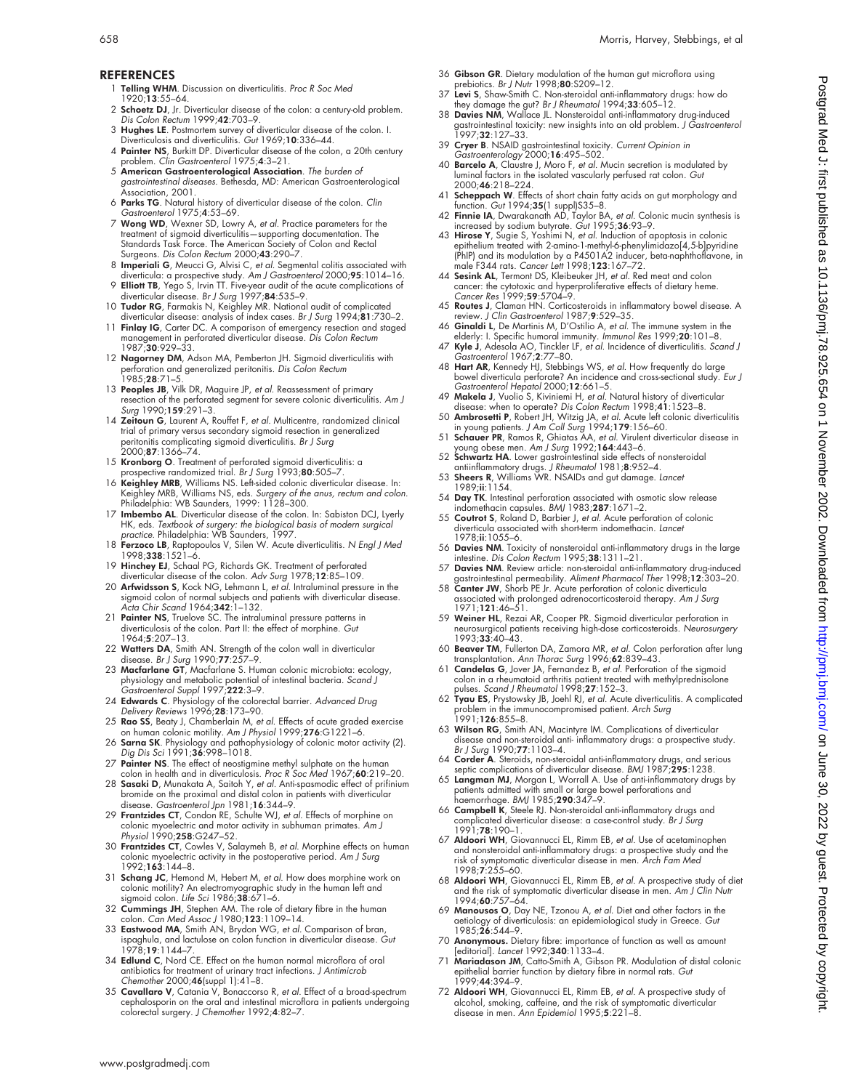- 1 Telling WHM. Discussion on diverticulitis. Proc R Soc Med 1920;13:55–64.
- 2 Schoetz DJ, Jr. Diverticular disease of the colon: a century-old problem. Dis Colon Rectum 1999;42:703–9.
- 3 Hughes LE. Postmortem survey of diverticular disease of the colon. I. Diverticulosis and diverticulitis. Gut 1969;10:336–44.
- 4 Painter NS, Burkitt DP. Diverticular disease of the colon, a 20th century problem. Clin Gastroenterol 1975;4:3–21.
- 5 American Gastroenterological Association. The burden of gastrointestinal diseases. Bethesda, MD: American Gastroenterological Association, 2001.
- 6 Parks TG. Natural history of diverticular disease of the colon. Clin Gastroenterol 1975;4:53–69.
- 7 Wong WD, Wexner SD, Lowry A, et al. Practice parameters for the treatment of sigmoid diverticulitis—supporting documentation. The Standards Task Force. The American Society of Colon and Rectal Surgeons. Dis Colon Rectum 2000;43:290–7.
- 8 Imperiali G, Meucci G, Alvisi C, et al. Segmental colitis associated with diverticula: a prospective study. Am J Gastroenterol 2000;95:1014-16.
- 
- 9 **Elliott TB**, Yego S, Irvin TT. Five-year audit of the acute complications of<br>diverticular disease. *Br J Surg* 1997;**84**:535–9.<br>10 **Tudor RG**, Farmakis N, Keighley MR. National audit of complicated<br>diverticular disease:
- management in perforated diverticular disease. Dis Colon Rectum 1987;30:929–33.
- 12 Nagorney DM, Adson MA, Pemberton JH. Sigmoid diverticulitis with perforation and generalized peritonitis. *Dis Colon Rectum*<br>1985;**28**:71–5.
- 13 **Peoples JB**, Vilk DR, Maguire JP, et al. Reassessment of primary resection of the perforated segment for severe colonic diverticulitis. Am J Surg 1990;159:291–3.
- 14 Zeitoun G, Laurent A, Rouffet F, et al. Multicentre, randomized clinical trial of primary versus secondary sigmoid resection in generalized peritonitis complicating sigmoid diverticulitis. Br J Surg 2000;87:1366–74.
- 15 **Kronborg O**. Treatment of perforated sigmoid diverticulitis: a<br>prospective randomized trial. *Br J Surg* 1993;80:505–7.<br>16 **Keighley MRB**, Williams NS. Left-sided colonic diverticular disease. In:
- Keighley MRB, Williams NS, eds. *Surgery of the anus, rectum and colon.*<br>Philadelphia: WB Saunders, 1999: 1128–300.
- 17 Imbembo AL. Diverticular disease of the colon. In: Sabiston DCJ, Lyerly HK, eds. Textbook of surgery: the biological basis of modern surgical practice. Philadelphia: WB Saunders, 1997.
- 18 Ferzoco LB, Raptopoulos V, Silen W. Acute diverticulitis. N Engl J Med 1998;338:1521–6.
- 19 Hinchey EJ, Schaal PG, Richards GK. Treatment of perforated diverticular disease of the colon. Adv Surg 1978;12:85–109.
- 20 Arfwidsson S, Kock NG, Lehmann L, et al. Intraluminal pressure in the sigmoid colon of normal subjects and patients with diverticular disease.<br>*Acta Chir Scand* 1964;**342**:1–132.
- 21 Painter NS, Truelove SC. The intraluminal pressure patterns in diverticulosis of the colon. Part II: the effect of morphine. Gut 1964;5:207–13.
- 
- 22 Watters DA, Smith AN. Strength of the colon wall in diverticular<br>disease. *Br J Surg* 1990;77:257–9.<br>23 Macfarlane GT, Macfarlane S. Human colonic microbiota: ecology,<br>physiology and metabolic potential of intestinal ba
- 24 Edwards C. Physiology of the colorectal barrier. Advanced Drug Delivery Reviews 1996;28:173–90.
- 25 Rao SS, Beaty J, Chamberlain M, et al. Effects of acute graded exercise on human colonic motility. Am J Physiol 1999;276:G1221–6.
- 26 Sarna SK. Physiology and pathophysiology of colonic motor activity (2). Dig Dis Sci 1991;36:998–1018.
- 27 Painter NS. The effect of neostigmine methyl sulphate on the human colon in health and in diverticulosis. Proc R Soc Med 1967;60:219–20.
- 28 Sasaki D, Munakata A, Saitoh Y, et al. Anti-spasmodic effect of prifinium bromide on the proximal and distal colon in patients with diverticular
- disease. *Gastroenterol Jpn* 1981;**16**:344–9.<br>29 **Frantzides CT**, Condon RE, Schulte WJ, *et al*. Effects of morphine on<br>colonic myoelectric and motor activity in subhuman primates. A*m J* Physiol 1990;258:G247-52.
- 30 Frantzides CT, Cowles V, Salaymeh B, et al. Morphine effects on human colonic myoelectric activity in the postoperative period. Am J Surg 1992;163:144–8.
- 31 Schang JC, Hemond M, Hebert M, et al. How does morphine work on colonic motility? An electromyographic study in the human left and<br>sigmoid colon. *Life Sci* 1986;**38**:671–6.
- 32 Cummings JH, Stephen AM. The role of dietary fibre in the human colon. Can Med Assoc J 1980;123:1109–14.
- 33 Eastwood MA, Smith AN, Brydon WG, et al. Comparison of bran, ispaghula, and lactulose on colon function in diverticular disease. Gut 1978;19:1144–7.
- 34 Edlund C, Nord CE. Effect on the human normal microflora of oral antibiotics for treatment of urinary tract infections. J Antimicrob Chemother 2000;46(suppl 1):41–8.
- 35 Cavallaro V, Catania V, Bonaccorso R, et al. Effect of a broad-spectrum cephalosporin on the oral and intestinal microflora in patients undergoing colorectal surgery. J Chemother 1992;4:82–7.
- 36 Gibson GR. Dietary modulation of the human gut microflora using prebiotics. Br J Nutr 1998;80:S209–12.
- 
- 37 Levi S, Shaw-Smith C. Non-steroidal anti-inflammatory drugs: how do<br>they damage the gut? Br J Rheumatol 1994;33:605–12.<br>38 Davies NM, Wallace JL. Nonsteroidal anti-inflammatory drug-induced<br>gastrointestinal toxicity: ne
- 39 **Cryer B**. NSAID gastrointestinal toxicity. *Current Opinion in*<br>Gastroenterology 2000;1**6**:495–502.<br>40 **Barcelo A**, Claustre J, Moro F, *et al.* Mucin secretion is modulated by
- luminal factors in the isolated vascularly perfused rat colon. Gut 2000;46:218–224.
- 
- 
- 41 **Scheppach W**. Effects of short chain fatty acids on gut morphology and<br>function. Gut 1994;35(1 suppl)S35–8.<br>**42 Finnie IA**, Dwarakanath AD, Taylor BA, *et al.* Colonic mucin synthesis is<br>increased by sodium butyrate.
- 44 Sesink AL, Termont DS, Kleibeuker JH, *et al.* Red meat and colon cancer: the cytotoxic and hyperproliferative effects of dietary heme.<br>Cancer Res 1999;59:5704-9.<br>45 Routes J, Claman HN. Corticosteroids in inflammatory
- 
- 46 Ginaldi L, De Martinis M, D'Ostilio A, et al. The immune system in the
- elderly: I. Specific humoral immunity. *Immunol Res* 1999;**20**:101–8.<br>47 **Kyle J**, Adesola AO, Tinckler LF, *et al*. Incidence of diverticulitis. *Scand J* Gastroenterol 1967;2:77–80.
- 48 Hart AR, Kennedy HJ, Stebbings WS, et al. How frequently do large bowel diverticula perforate? An incidence and cross-sectional study. Eur J
- Gastroenterol Hepatol 2000;12:661–5. 49 Makela J, Vuolio S, Kiviniemi H, et al. Natural history of diverticular disease: when to operate? Dis Colon Rectum 1998;41:1523–8.
- 50 Ambrosetti P, Robert JH, Witzig JA, et al. Acute left colonic diverticulitis
- in young patients. *J Am Coll Surg* 1994;**179**:156–60.<br>51 **Schauer PR**, Ramos R, Ghiatas AA, *et al.* Virulent diverticular disease in<br>young obese men. *Am J Surg* 1992;**16**4:443–6.<br>**52 Schwartz HA**. Lower gastrointestinal
- antiinflammatory drugs. J Rheumatol 1981;8:952–4. 53 Sheers R, Williams WR. NSAIDs and gut damage. Lancet
- 1989;ii:1154.
- 54 Day TK. Intestinal perforation associated with osmotic slow release indomethacin capsules. BMJ 1983;287:1671–2.
- 55 Coutrot S, Roland D, Barbier J, et al. Acute perforation of colonic diverticula associated with short-term indomethacin. Lancet 1978;ii:1055–6.
- 56 Davies NM. Toxicity of nonsteroidal anti-inflammatory drugs in the large intestine. Dis Colon Rectum 1995;38:1311-21.
- 57 Davies NM. Review article: non-steroidal anti-inflammatory drug-induced gastrointestinal permeability. Aliment Pharmacol Ther 1998;12:303–20.
- 58 Canter JW, Shorb PE Jr. Acute perforation of colonic diverticula associated with prolonged adrenocorticosteroid therapy. Am J Surg 1971;121:46–51.
- 59 Weiner HL, Rezai AR, Cooper PR. Sigmoid diverticular perforation in neurosurgical patients receiving high-dose corticosteroids. Neurosurgery 1993;33:40–43.
- 60 Beaver TM, Fullerton DA, Zamora MR, et al. Colon perforation after lung
- transplantation. Ann Thorac Surg 1996;62:839–43. 61 Candelas G, Jover JA, Fernandez B, et al. Perforation of the sigmoid colon in a rheumatoid arthritis patient treated with methylprednisolone pulses. Scand J Rheumatol 1998;27:152–3.
- 62 Tyau ES, Prystowsky JB, Joehl RJ, et al. Acute diverticulitis. A complicated problem in the immunocompromised patient. Arch Surg 1991;126:855–8.
- 63 Wilson RG, Smith AN, Macintyre IM. Complications of diverticular disease and non-steroidal anti- inflammatory drugs: a prospective study.<br>*Br J Surg* 1990;**77**:1103–4.
- 64 Corder A. Steroids, non-steroidal anti-inflammatory drugs, and serious septic complications of diverticular disease. BMJ 1987;295:1238.
- 65 Langman MJ, Morgan L, Worrall A. Use of anti-inflammatory drugs by patients admitted with small or large bowel perforations and haemorrhage. BMJ 1985;290:347–9.
- 66 Campbell K, Steele RJ. Non-steroidal anti-inflammatory drugs and complicated diverticular disease: a case-control study. Br J Surg
- 1991;**78**:190–1.<br>67 **Aldoori WH**, Giovannucci EL, Rimm EB, *et al*. Use of acetaminophen and nonsteroidal anti-inflammatory drugs: a prospective study and the risk of symptomatic diverticular disease in men. Arch Fam Med
- 1998;7:255–60.<br>68 **Aldoori WH**, Giovannucci EL, Rimm EB, *et al*. A prospective study of diet<br>and the risk of symptomatic diverticular disease in men. *Am J Clin Nutr* 1994;60:757–64.
- 69 Manousos O, Day NE, Tzonou A, et al. Diet and other factors in the aetiology of diverticulosis: an epidemiological study in Greece. Gut 1985;26:544–9.
- 70 Anonymous. Dietary fibre: importance of function as well as amount [editorial]. Lancet 1992;340:1133–4.
- 71 Mariadason JM, Catto-Smith A, Gibson PR. Modulation of distal colonic epithelial barrier function by dietary fibre in normal rats. Gut 1999;44:394–9.
- 72 Aldoori WH, Giovannucci EL, Rimm EB, et al. A prospective study of alcohol, smoking, caffeine, and the risk of symptomatic diverticular disease in men. Ann Epidemiol 1995;5:221-8.